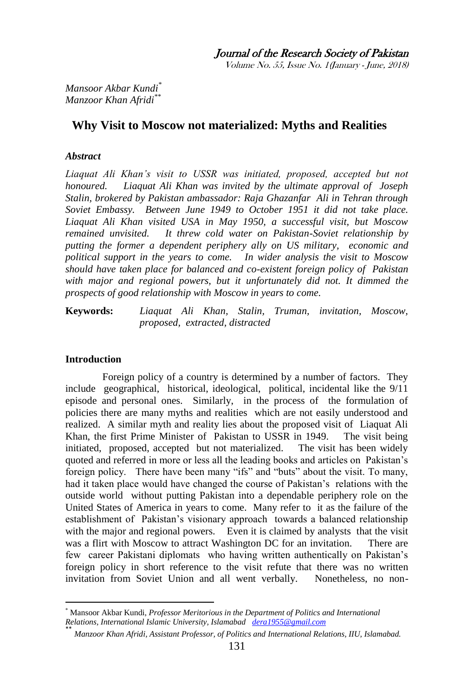Volume No. 55, Issue No. 1(January - June, 2018)

*Mansoor Akbar Kundi\* Manzoor Khan Afridi\*\**

# **Why Visit to Moscow not materialized: Myths and Realities**

# *Abstract*

Liaquat Ali Khan's visit to USSR was initiated, proposed, accepted but not *honoured. Liaquat Ali Khan was invited by the ultimate approval of Joseph Stalin, brokered by Pakistan ambassador: Raja Ghazanfar Ali in Tehran through Soviet Embassy. Between June 1949 to October 1951 it did not take place. Liaquat Ali Khan visited USA in May 1950, a successful visit, but Moscow remained unvisited. It threw cold water on Pakistan-Soviet relationship by putting the former a dependent periphery ally on US military, economic and political support in the years to come. In wider analysis the visit to Moscow should have taken place for balanced and co-existent foreign policy of Pakistan with major and regional powers, but it unfortunately did not. It dimmed the prospects of good relationship with Moscow in years to come.* 

**Keywords:** *Liaquat Ali Khan, Stalin, Truman, invitation, Moscow, proposed, extracted, distracted*

### **Introduction**

Foreign policy of a country is determined by a number of factors. They include geographical, historical, ideological, political, incidental like the 9/11 episode and personal ones. Similarly, in the process of the formulation of policies there are many myths and realities which are not easily understood and realized. A similar myth and reality lies about the proposed visit of Liaquat Ali Khan, the first Prime Minister of Pakistan to USSR in 1949. The visit being initiated, proposed, accepted but not materialized. The visit has been widely quoted and referred in more or less all the leading books and articles on Pakistan's foreign policy. There have been many "ifs" and "buts" about the visit. To many, had it taken place would have changed the course of Pakistan's relations with the outside world without putting Pakistan into a dependable periphery role on the United States of America in years to come. Many refer to it as the failure of the establishment of Pakistan's visionary approach towards a balanced relationship with the major and regional powers. Even it is claimed by analysts that the visit was a flirt with Moscow to attract Washington DC for an invitation. There are few career Pakistani diplomats who having written authentically on Pakistan's foreign policy in short reference to the visit refute that there was no written invitation from Soviet Union and all went verbally. Nonetheless, no non-

<sup>1</sup> \* Mansoor Akbar Kundi, *Professor Meritorious in the Department of Politics and International Relations, International Islamic University, Islamabad [dera1955@gmail.com](mailto:dera1955@gmail.com)*

<sup>\*\*</sup> *Manzoor Khan Afridi, Assistant Professor, of Politics and International Relations, IIU, Islamabad.*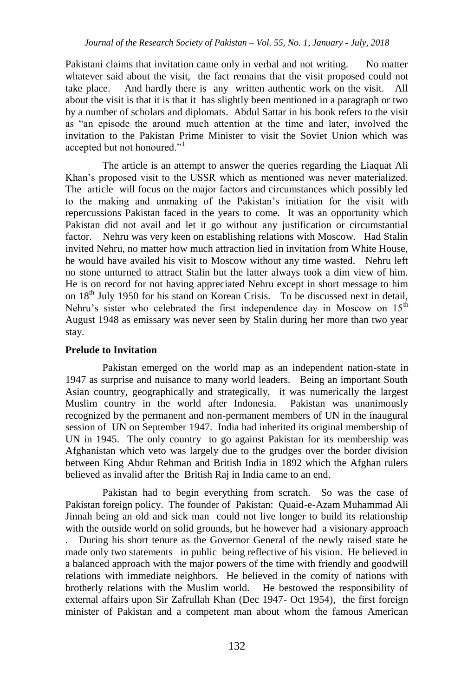Pakistani claims that invitation came only in verbal and not writing. No matter whatever said about the visit, the fact remains that the visit proposed could not take place. And hardly there is any written authentic work on the visit. All about the visit is that it is that it has slightly been mentioned in a paragraph or two by a number of scholars and diplomats. Abdul Sattar in his book refers to the visit as "an episode the around much attention at the time and later, involved the invitation to the Pakistan Prime Minister to visit the Soviet Union which was accepted but not honoured."<sup>1</sup>

The article is an attempt to answer the queries regarding the Liaquat Ali Khan's proposed visit to the USSR which as mentioned was never materialized. The article will focus on the major factors and circumstances which possibly led to the making and unmaking of the Pakistan's initiation for the visit with repercussions Pakistan faced in the years to come. It was an opportunity which Pakistan did not avail and let it go without any justification or circumstantial factor. Nehru was very keen on establishing relations with Moscow. Had Stalin invited Nehru, no matter how much attraction lied in invitation from White House, he would have availed his visit to Moscow without any time wasted. Nehru left no stone unturned to attract Stalin but the latter always took a dim view of him. He is on record for not having appreciated Nehru except in short message to him on  $18<sup>th</sup>$  July 1950 for his stand on Korean Crisis. To be discussed next in detail, Nehru's sister who celebrated the first independence day in Moscow on  $15<sup>th</sup>$ August 1948 as emissary was never seen by Stalin during her more than two year stay.

### **Prelude to Invitation**

Pakistan emerged on the world map as an independent nation-state in 1947 as surprise and nuisance to many world leaders. Being an important South Asian country, geographically and strategically, it was numerically the largest Muslim country in the world after Indonesia. Pakistan was unanimously recognized by the permanent and non-permanent members of UN in the inaugural session of UN on September 1947. India had inherited its original membership of UN in 1945. The only country to go against Pakistan for its membership was Afghanistan which veto was largely due to the grudges over the border division between King Abdur Rehman and British India in 1892 which the Afghan rulers believed as invalid after the British Raj in India came to an end.

Pakistan had to begin everything from scratch. So was the case of Pakistan foreign policy. The founder of Pakistan: Quaid-e-Azam Muhammad Ali Jinnah being an old and sick man could not live longer to build its relationship with the outside world on solid grounds, but he however had a visionary approach . During his short tenure as the Governor General of the newly raised state he made only two statements in public being reflective of his vision. He believed in a balanced approach with the major powers of the time with friendly and goodwill relations with immediate neighbors. He believed in the comity of nations with brotherly relations with the Muslim world. He bestowed the responsibility of external affairs upon Sir Zafrullah Khan (Dec 1947- Oct 1954), the first foreign minister of Pakistan and a competent man about whom the famous American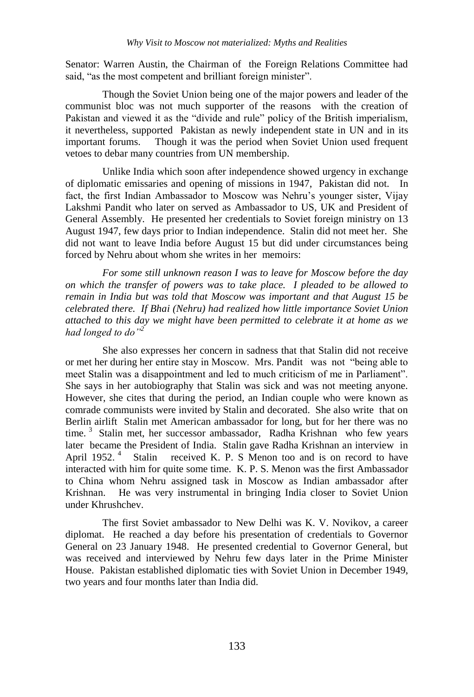Senator: Warren Austin, the Chairman of the Foreign Relations Committee had said, "as the most competent and brilliant foreign minister".

Though the Soviet Union being one of the major powers and leader of the communist bloc was not much supporter of the reasons with the creation of Pakistan and viewed it as the "divide and rule" policy of the British imperialism, it nevertheless, supported Pakistan as newly independent state in UN and in its important forums. Though it was the period when Soviet Union used frequent vetoes to debar many countries from UN membership.

Unlike India which soon after independence showed urgency in exchange of diplomatic emissaries and opening of missions in 1947, Pakistan did not. In fact, the first Indian Ambassador to Moscow was Nehru's younger sister, Vijay Lakshmi Pandit who later on served as Ambassador to US, UK and President of General Assembly. He presented her credentials to Soviet foreign ministry on 13 August 1947, few days prior to Indian independence. Stalin did not meet her. She did not want to leave India before August 15 but did under circumstances being forced by Nehru about whom she writes in her memoirs:

*For some still unknown reason I was to leave for Moscow before the day on which the transfer of powers was to take place. I pleaded to be allowed to remain in India but was told that Moscow was important and that August 15 be celebrated there. If Bhai (Nehru) had realized how little importance Soviet Union attached to this day we might have been permitted to celebrate it at home as we had longed to do"<sup>2</sup>* 

She also expresses her concern in sadness that that Stalin did not receive or met her during her entire stay in Moscow. Mrs. Pandit was not "being able to meet Stalin was a disappointment and led to much criticism of me in Parliament". She says in her autobiography that Stalin was sick and was not meeting anyone. However, she cites that during the period, an Indian couple who were known as comrade communists were invited by Stalin and decorated. She also write that on Berlin airlift Stalin met American ambassador for long, but for her there was no time.<sup>3</sup> Stalin met, her successor ambassador, Radha Krishnan who few years later became the President of India. Stalin gave Radha Krishnan an interview in April 1952. $4$  Stalin received K. P. S Menon too and is on record to have interacted with him for quite some time. K. P. S. Menon was the first Ambassador to China whom Nehru assigned task in Moscow as Indian ambassador after Krishnan. He was very instrumental in bringing India closer to Soviet Union under Khrushchev.

The first Soviet ambassador to New Delhi was K. V. Novikov, a career diplomat. He reached a day before his presentation of credentials to Governor General on 23 January 1948. He presented credential to Governor General, but was received and interviewed by Nehru few days later in the Prime Minister House. Pakistan established diplomatic ties with Soviet Union in December 1949, two years and four months later than India did.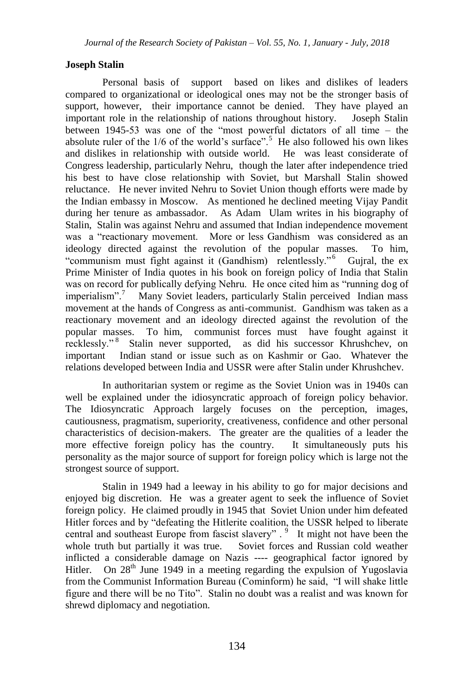# **Joseph Stalin**

Personal basis of support based on likes and dislikes of leaders compared to organizational or ideological ones may not be the stronger basis of support, however, their importance cannot be denied. They have played an important role in the relationship of nations throughout history. Joseph Stalin between 1945-53 was one of the "most powerful dictators of all time – the absolute ruler of the  $1/6$  of the world's surface".<sup>5</sup> He also followed his own likes and dislikes in relationship with outside world. He was least considerate of Congress leadership, particularly Nehru, though the later after independence tried his best to have close relationship with Soviet, but Marshall Stalin showed reluctance. He never invited Nehru to Soviet Union though efforts were made by the Indian embassy in Moscow. As mentioned he declined meeting Vijay Pandit during her tenure as ambassador. As Adam Ulam writes in his biography of Stalin, Stalin was against Nehru and assumed that Indian independence movement was a "reactionary movement. More or less Gandhism was considered as an ideology directed against the revolution of the popular masses. To him, "communism must fight against it (Gandhism) relentlessly."<sup>6</sup> Gujral, the ex Prime Minister of India quotes in his book on foreign policy of India that Stalin was on record for publically defying Nehru. He once cited him as "running dog of imperialism".<sup>7</sup> Many Soviet leaders, particularly Stalin perceived Indian mass movement at the hands of Congress as anti-communist. Gandhism was taken as a reactionary movement and an ideology directed against the revolution of the popular masses. To him, communist forces must have fought against it recklessly."<sup>8</sup> Stalin never supported, as did his successor Khrushchev, on important Indian stand or issue such as on Kashmir or Gao. Whatever the relations developed between India and USSR were after Stalin under Khrushchev.

In authoritarian system or regime as the Soviet Union was in 1940s can well be explained under the idiosyncratic approach of foreign policy behavior. The Idiosyncratic Approach largely focuses on the perception, images, cautiousness, pragmatism, superiority, creativeness, confidence and other personal characteristics of decision-makers. The greater are the qualities of a leader the more effective foreign policy has the country. It simultaneously puts his personality as the major source of support for foreign policy which is large not the strongest source of support.

Stalin in 1949 had a leeway in his ability to go for major decisions and enjoyed big discretion. He was a greater agent to seek the influence of Soviet foreign policy. He claimed proudly in 1945 that Soviet Union under him defeated Hitler forces and by "defeating the Hitlerite coalition, the USSR helped to liberate central and southeast Europe from fascist slavery".<sup>9</sup> It might not have been the whole truth but partially it was true. Soviet forces and Russian cold weather inflicted a considerable damage on Nazis ---- geographical factor ignored by Hitler. On  $28<sup>th</sup>$  June 1949 in a meeting regarding the expulsion of Yugoslavia from the Communist Information Bureau (Cominform) he said, "I will shake little figure and there will be no Tito". Stalin no doubt was a realist and was known for shrewd diplomacy and negotiation.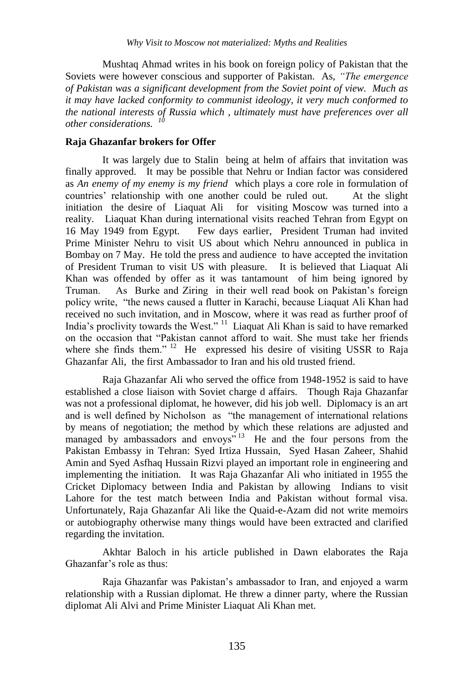Mushtaq Ahmad writes in his book on foreign policy of Pakistan that the Soviets were however conscious and supporter of Pakistan. As, *"The emergence of Pakistan was a significant development from the Soviet point of view. Much as it may have lacked conformity to communist ideology, it very much conformed to the national interests of Russia which , ultimately must have preferences over all other considerations. <sup>10</sup>*

### **Raja Ghazanfar brokers for Offer**

It was largely due to Stalin being at helm of affairs that invitation was finally approved. It may be possible that Nehru or Indian factor was considered as *An enemy of my enemy is my friend* which plays a core role in formulation of countries' relationship with one another could be ruled out. At the slight initiation the desire of Liaquat Ali for visiting Moscow was turned into a reality. Liaquat Khan during international visits reached Tehran from Egypt on 16 May 1949 from Egypt. Few days earlier, President Truman had invited Prime Minister Nehru to visit US about which Nehru announced in publica in Bombay on 7 May. He told the press and audience to have accepted the invitation of President Truman to visit US with pleasure. It is believed that Liaquat Ali Khan was offended by offer as it was tantamount of him being ignored by Truman. As Burke and Ziring in their well read book on Pakistan's foreign policy write, "the news caused a flutter in Karachi, because Liaquat Ali Khan had received no such invitation, and in Moscow, where it was read as further proof of India's proclivity towards the West."<sup>11</sup> Liaquat Ali Khan is said to have remarked on the occasion that "Pakistan cannot afford to wait. She must take her friends where she finds them."<sup>12</sup> He expressed his desire of visiting USSR to Raja Ghazanfar Ali, the first Ambassador to Iran and his old trusted friend.

Raja Ghazanfar Ali who served the office from 1948-1952 is said to have established a close liaison with Soviet charge d affairs. Though Raja Ghazanfar was not a professional diplomat, he however, did his job well. Diplomacy is an art and is well defined by Nicholson as "the management of international relations by means of negotiation; the method by which these relations are adjusted and managed by ambassadors and envoys"<sup>13</sup> He and the four persons from the Pakistan Embassy in Tehran: Syed Irtiza Hussain, Syed Hasan Zaheer, Shahid Amin and Syed Asfhaq Hussain Rizvi played an important role in engineering and implementing the initiation. It was Raja Ghazanfar Ali who initiated in 1955 the Cricket Diplomacy between India and Pakistan by allowing Indians to visit Lahore for the test match between India and Pakistan without formal visa. Unfortunately, Raja Ghazanfar Ali like the Quaid-e-Azam did not write memoirs or autobiography otherwise many things would have been extracted and clarified regarding the invitation.

Akhtar Baloch in his article published in Dawn elaborates the Raja Ghazanfar's role as thus:

Raja Ghazanfar was Pakistan's ambassador to Iran, and enjoyed a warm relationship with a Russian diplomat. He threw a dinner party, where the Russian diplomat Ali Alvi and Prime Minister Liaquat Ali Khan met.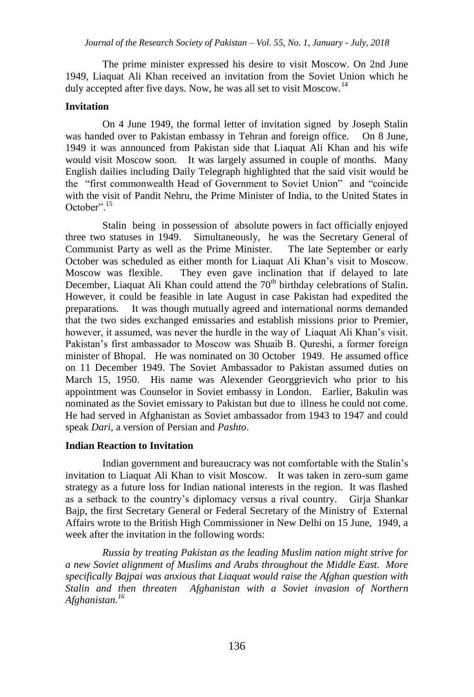The prime minister expressed his desire to visit Moscow. On 2nd June 1949, Liaquat Ali Khan received an invitation from the Soviet Union which he duly accepted after five days. Now, he was all set to visit Moscow.<sup>14</sup>

### **Invitation**

On 4 June 1949, the formal letter of invitation signed by Joseph Stalin was handed over to Pakistan embassy in Tehran and foreign office. On 8 June, 1949 it was announced from Pakistan side that Liaquat Ali Khan and his wife would visit Moscow soon. It was largely assumed in couple of months. Many English dailies including Daily Telegraph highlighted that the said visit would be the "first commonwealth Head of Government to Soviet Union" and "coincide with the visit of Pandit Nehru, the Prime Minister of India, to the United States in October".<sup>15</sup>

Stalin being in possession of absolute powers in fact officially enjoyed three two statuses in 1949. Simultaneously, he was the Secretary General of Communist Party as well as the Prime Minister. The late September or early October was scheduled as either month for Liaquat Ali Khan's visit to Moscow. Moscow was flexible. They even gave inclination that if delayed to late December, Liaquat Ali Khan could attend the  $70<sup>th</sup>$  birthday celebrations of Stalin. However, it could be feasible in late August in case Pakistan had expedited the preparations. It was though mutually agreed and international norms demanded that the two sides exchanged emissaries and establish missions prior to Premier, however, it assumed, was never the hurdle in the way of Liaquat Ali Khan's visit. Pakistan's first ambassador to Moscow was Shuaib B. Qureshi, a former foreign minister of Bhopal. He was nominated on 30 October 1949. He assumed office on 11 December 1949. The Soviet Ambassador to Pakistan assumed duties on March 15, 1950. His name was Alexender Georggrievich who prior to his appointment was Counselor in Soviet embassy in London. Earlier, Bakulin was nominated as the Soviet emissary to Pakistan but due to illness he could not come. He had served in Afghanistan as Soviet ambassador from 1943 to 1947 and could speak *Dari,* a version of Persian and *Pashto*.

#### **Indian Reaction to Invitation**

Indian government and bureaucracy was not comfortable with the Stalin's invitation to Liaquat Ali Khan to visit Moscow. It was taken in zero-sum game strategy as a future loss for Indian national interests in the region. It was flashed as a setback to the country's diplomacy versus a rival country. Girja Shankar Bajp, the first Secretary General or Federal Secretary of the Ministry of External Affairs wrote to the British High Commissioner in New Delhi on 15 June, 1949, a week after the invitation in the following words:

*Russia by treating Pakistan as the leading Muslim nation might strive for a new Soviet alignment of Muslims and Arabs throughout the Middle East. More specifically Bajpai was anxious that Liaquat would raise the Afghan question with Stalin and then threaten Afghanistan with a Soviet invasion of Northern Afghanistan.<sup>16</sup>*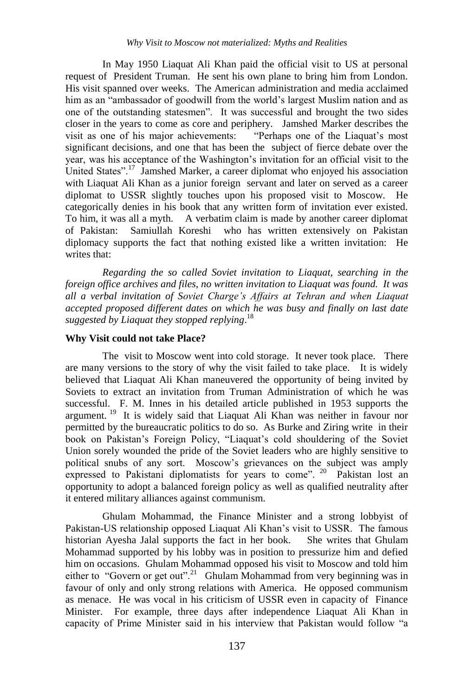In May 1950 Liaquat Ali Khan paid the official visit to US at personal request of President Truman. He sent his own plane to bring him from London. His visit spanned over weeks. The American administration and media acclaimed him as an "ambassador of goodwill from the world's largest Muslim nation and as one of the outstanding statesmen". It was successful and brought the two sides closer in the years to come as core and periphery. Jamshed Marker describes the visit as one of his major achievements: "Perhaps one of the Liaquat's most significant decisions, and one that has been the subject of fierce debate over the year, was his acceptance of the Washington's invitation for an official visit to the United States".<sup>17</sup> Jamshed Marker, a career diplomat who enjoyed his association with Liaquat Ali Khan as a junior foreign servant and later on served as a career diplomat to USSR slightly touches upon his proposed visit to Moscow. He categorically denies in his book that any written form of invitation ever existed. To him, it was all a myth. A verbatim claim is made by another career diplomat of Pakistan: Samiullah Koreshi who has written extensively on Pakistan diplomacy supports the fact that nothing existed like a written invitation: He writes that:

*Regarding the so called Soviet invitation to Liaquat, searching in the foreign office archives and files, no written invitation to Liaquat was found. It was all a verbal invitation of Soviet Charge's Affairs at Tehran and when Liaquat accepted proposed different dates on which he was busy and finally on last date suggested by Liaquat they stopped replying*. 18

#### **Why Visit could not take Place?**

The visit to Moscow went into cold storage. It never took place. There are many versions to the story of why the visit failed to take place. It is widely believed that Liaquat Ali Khan maneuvered the opportunity of being invited by Soviets to extract an invitation from Truman Administration of which he was successful. F. M. Innes in his detailed article published in 1953 supports the argument.<sup>19</sup> It is widely said that Liaquat Ali Khan was neither in favour nor permitted by the bureaucratic politics to do so. As Burke and Ziring write in their book on Pakistan's Foreign Policy, "Liaquat's cold shouldering of the Soviet Union sorely wounded the pride of the Soviet leaders who are highly sensitive to political snubs of any sort. Moscow's grievances on the subject was amply expressed to Pakistani diplomatists for years to come". <sup>20</sup> Pakistan lost an opportunity to adopt a balanced foreign policy as well as qualified neutrality after it entered military alliances against communism.

Ghulam Mohammad, the Finance Minister and a strong lobbyist of Pakistan-US relationship opposed Liaquat Ali Khan's visit to USSR. The famous historian Ayesha Jalal supports the fact in her book. She writes that Ghulam Mohammad supported by his lobby was in position to pressurize him and defied him on occasions. Ghulam Mohammad opposed his visit to Moscow and told him either to "Govern or get out".<sup>21</sup> Ghulam Mohammad from very beginning was in favour of only and only strong relations with America. He opposed communism as menace. He was vocal in his criticism of USSR even in capacity of Finance Minister. For example, three days after independence Liaquat Ali Khan in capacity of Prime Minister said in his interview that Pakistan would follow "a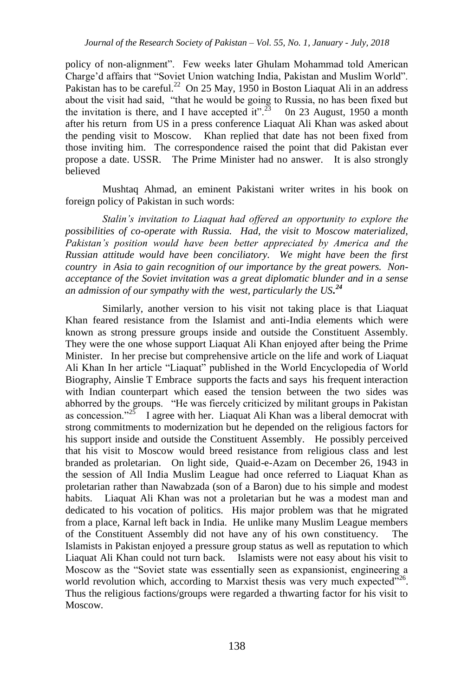policy of non-alignment". Few weeks later Ghulam Mohammad told American Charge'd affairs that "Soviet Union watching India, Pakistan and Muslim World". Pakistan has to be careful.<sup>22</sup> On 25 May, 1950 in Boston Liaquat Ali in an address about the visit had said, "that he would be going to Russia, no has been fixed but the invitation is there, and I have accepted it".<sup>23</sup> 0n 23 August, 1950 a month after his return from US in a press conference Liaquat Ali Khan was asked about the pending visit to Moscow. Khan replied that date has not been fixed from those inviting him. The correspondence raised the point that did Pakistan ever propose a date. USSR. The Prime Minister had no answer. It is also strongly believed

Mushtaq Ahmad, an eminent Pakistani writer writes in his book on foreign policy of Pakistan in such words:

*Stalin's invitation to Liaquat had offered an opportunity to explore the possibilities of co-operate with Russia. Had, the visit to Moscow materialized, Pakistan's position would have been better appreciated by America and the Russian attitude would have been conciliatory. We might have been the first country in Asia to gain recognition of our importance by the great powers. Nonacceptance of the Soviet invitation was a great diplomatic blunder and in a sense an admission of our sympathy with the west, particularly the US. 24*

Similarly, another version to his visit not taking place is that Liaquat Khan feared resistance from the Islamist and anti-India elements which were known as strong pressure groups inside and outside the Constituent Assembly. They were the one whose support Liaquat Ali Khan enjoyed after being the Prime Minister. In her precise but comprehensive article on the life and work of Liaquat Ali Khan In her article "Liaquat" published in the World Encyclopedia of World Biography, Ainslie T Embrace supports the facts and says his frequent interaction with Indian counterpart which eased the tension between the two sides was abhorred by the groups. "He was fiercely criticized by militant groups in Pakistan as concession."<sup>25</sup> I agree with her. Liaquat Ali Khan was a liberal democrat with strong commitments to modernization but he depended on the religious factors for his support inside and outside the Constituent Assembly. He possibly perceived that his visit to Moscow would breed resistance from religious class and lest branded as proletarian. On light side, Quaid-e-Azam on December 26, 1943 in the session of All India Muslim League had once referred to Liaquat Khan as proletarian rather than Nawabzada (son of a Baron) due to his simple and modest habits. Liaquat Ali Khan was not a proletarian but he was a modest man and dedicated to his vocation of politics. His major problem was that he migrated from a place, Karnal left back in India. He unlike many Muslim League members of the Constituent Assembly did not have any of his own constituency. The Islamists in Pakistan enjoyed a pressure group status as well as reputation to which Liaquat Ali Khan could not turn back. Islamists were not easy about his visit to Moscow as the "Soviet state was essentially seen as expansionist, engineering a world revolution which, according to Marxist thesis was very much expected"<sup>26</sup>. Thus the religious factions/groups were regarded a thwarting factor for his visit to Moscow.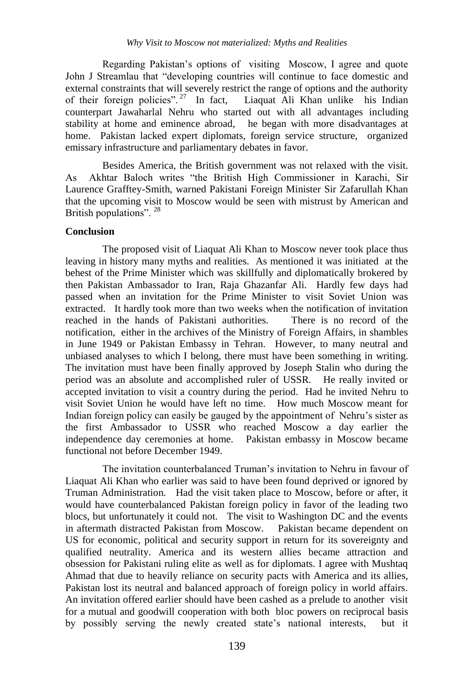Regarding Pakistan's options of visiting Moscow, I agree and quote John J Streamlau that "developing countries will continue to face domestic and external constraints that will severely restrict the range of options and the authority of their foreign policies".<sup>27</sup> In fact, Liaquat Ali Khan unlike his Indian counterpart Jawaharlal Nehru who started out with all advantages including stability at home and eminence abroad, he began with more disadvantages at home. Pakistan lacked expert diplomats, foreign service structure, organized emissary infrastructure and parliamentary debates in favor.

Besides America, the British government was not relaxed with the visit. As Akhtar Baloch writes "the British High Commissioner in Karachi, Sir Laurence Grafftey-Smith, warned Pakistani Foreign Minister Sir Zafarullah Khan that the upcoming visit to Moscow would be seen with mistrust by American and British populations". <sup>28</sup>

### **Conclusion**

The proposed visit of Liaquat Ali Khan to Moscow never took place thus leaving in history many myths and realities. As mentioned it was initiated at the behest of the Prime Minister which was skillfully and diplomatically brokered by then Pakistan Ambassador to Iran, Raja Ghazanfar Ali. Hardly few days had passed when an invitation for the Prime Minister to visit Soviet Union was extracted. It hardly took more than two weeks when the notification of invitation reached in the hands of Pakistani authorities. There is no record of the notification, either in the archives of the Ministry of Foreign Affairs, in shambles in June 1949 or Pakistan Embassy in Tehran. However, to many neutral and unbiased analyses to which I belong, there must have been something in writing. The invitation must have been finally approved by Joseph Stalin who during the period was an absolute and accomplished ruler of USSR. He really invited or accepted invitation to visit a country during the period. Had he invited Nehru to visit Soviet Union he would have left no time. How much Moscow meant for Indian foreign policy can easily be gauged by the appointment of Nehru's sister as the first Ambassador to USSR who reached Moscow a day earlier the independence day ceremonies at home. Pakistan embassy in Moscow became functional not before December 1949.

The invitation counterbalanced Truman's invitation to Nehru in favour of Liaquat Ali Khan who earlier was said to have been found deprived or ignored by Truman Administration. Had the visit taken place to Moscow, before or after, it would have counterbalanced Pakistan foreign policy in favor of the leading two blocs, but unfortunately it could not. The visit to Washington DC and the events in aftermath distracted Pakistan from Moscow. Pakistan became dependent on US for economic, political and security support in return for its sovereignty and qualified neutrality. America and its western allies became attraction and obsession for Pakistani ruling elite as well as for diplomats. I agree with Mushtaq Ahmad that due to heavily reliance on security pacts with America and its allies, Pakistan lost its neutral and balanced approach of foreign policy in world affairs. An invitation offered earlier should have been cashed as a prelude to another visit for a mutual and goodwill cooperation with both bloc powers on reciprocal basis by possibly serving the newly created state's national interests, but it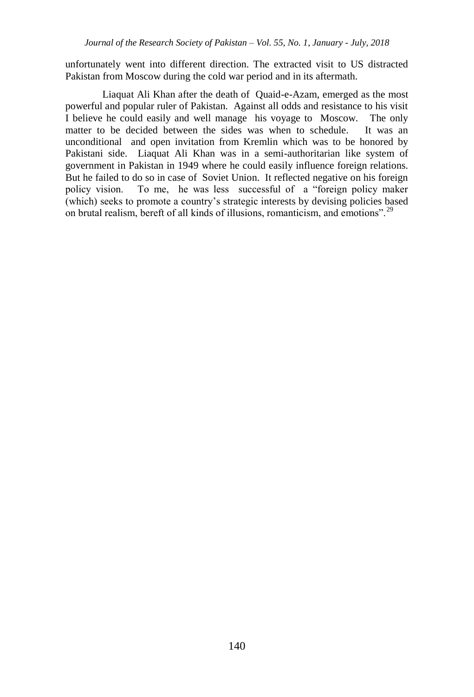unfortunately went into different direction. The extracted visit to US distracted Pakistan from Moscow during the cold war period and in its aftermath.

Liaquat Ali Khan after the death of Quaid-e-Azam, emerged as the most powerful and popular ruler of Pakistan. Against all odds and resistance to his visit I believe he could easily and well manage his voyage to Moscow. The only matter to be decided between the sides was when to schedule. It was an unconditional and open invitation from Kremlin which was to be honored by Pakistani side. Liaquat Ali Khan was in a semi-authoritarian like system of government in Pakistan in 1949 where he could easily influence foreign relations. But he failed to do so in case of Soviet Union. It reflected negative on his foreign policy vision. To me, he was less successful of a "foreign policy maker (which) seeks to promote a country's strategic interests by devising policies based on brutal realism, bereft of all kinds of illusions, romanticism, and emotions".<sup>29</sup>